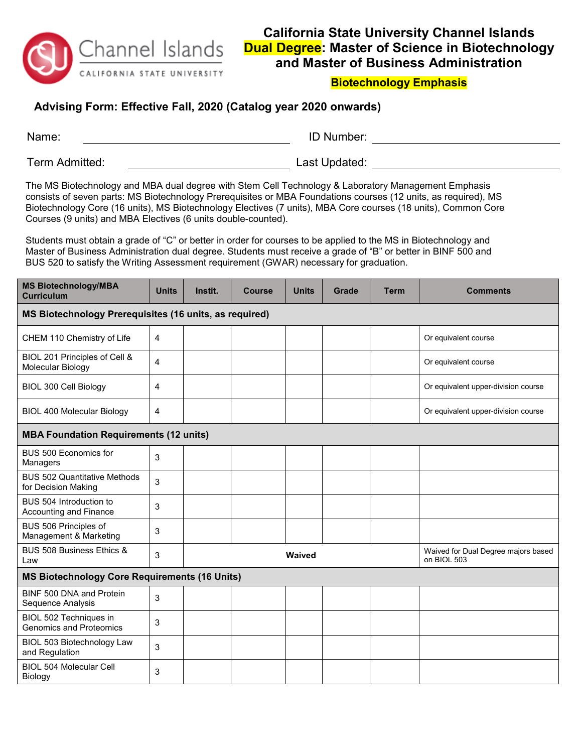

## **California State University Channel Islands Dual Degree: Master of Science in Biotechnology and Master of Business Administration**

## **Biotechnology Emphasis**

## **Advising Form: Effective Fall, 2020 (Catalog year 2020 onwards)**

| Name:          | <b>ID Number:</b> |
|----------------|-------------------|
| Term Admitted: | Last Updated:     |

The MS Biotechnology and MBA dual degree with Stem Cell Technology & Laboratory Management Emphasis consists of seven parts: MS Biotechnology Prerequisites or MBA Foundations courses (12 units, as required), MS Biotechnology Core (16 units), MS Biotechnology Electives (7 units), MBA Core courses (18 units), Common Core Courses (9 units) and MBA Electives (6 units double-counted).

Students must obtain a grade of "C" or better in order for courses to be applied to the MS in Biotechnology and Master of Business Administration dual degree. Students must receive a grade of "B" or better in BINF 500 and BUS 520 to satisfy the Writing Assessment requirement (GWAR) necessary for graduation.

| <b>MS Biotechnology/MBA</b><br><b>Curriculum</b>           | <b>Units</b> | Instit. | <b>Course</b> | <b>Units</b>                                       | Grade | <b>Term</b> | <b>Comments</b>                     |  |
|------------------------------------------------------------|--------------|---------|---------------|----------------------------------------------------|-------|-------------|-------------------------------------|--|
| MS Biotechnology Prerequisites (16 units, as required)     |              |         |               |                                                    |       |             |                                     |  |
| CHEM 110 Chemistry of Life                                 | 4            |         |               |                                                    |       |             | Or equivalent course                |  |
| BIOL 201 Principles of Cell &<br>Molecular Biology         | 4            |         |               |                                                    |       |             | Or equivalent course                |  |
| BIOL 300 Cell Biology                                      | 4            |         |               |                                                    |       |             | Or equivalent upper-division course |  |
| <b>BIOL 400 Molecular Biology</b>                          | 4            |         |               |                                                    |       |             | Or equivalent upper-division course |  |
| <b>MBA Foundation Requirements (12 units)</b>              |              |         |               |                                                    |       |             |                                     |  |
| BUS 500 Economics for<br>Managers                          | 3            |         |               |                                                    |       |             |                                     |  |
| <b>BUS 502 Quantitative Methods</b><br>for Decision Making | 3            |         |               |                                                    |       |             |                                     |  |
| BUS 504 Introduction to<br>Accounting and Finance          | 3            |         |               |                                                    |       |             |                                     |  |
| BUS 506 Principles of<br>Management & Marketing            | 3            |         |               |                                                    |       |             |                                     |  |
| BUS 508 Business Ethics &<br>Law                           | 3            |         | Waived        | Waived for Dual Degree majors based<br>on BIOL 503 |       |             |                                     |  |
| <b>MS Biotechnology Core Requirements (16 Units)</b>       |              |         |               |                                                    |       |             |                                     |  |
| BINF 500 DNA and Protein<br>Sequence Analysis              | 3            |         |               |                                                    |       |             |                                     |  |
| BIOL 502 Techniques in<br><b>Genomics and Proteomics</b>   | 3            |         |               |                                                    |       |             |                                     |  |
| BIOL 503 Biotechnology Law<br>and Regulation               | 3            |         |               |                                                    |       |             |                                     |  |
| <b>BIOL 504 Molecular Cell</b><br>Biology                  | 3            |         |               |                                                    |       |             |                                     |  |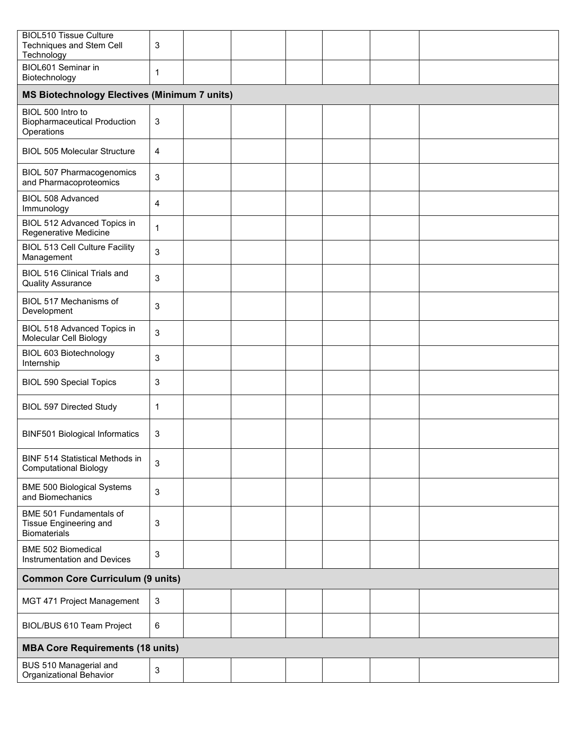| <b>BIOL510 Tissue Culture</b><br>Techniques and Stem Cell<br>Technology  | 3            |  |  |  |  |  |  |
|--------------------------------------------------------------------------|--------------|--|--|--|--|--|--|
| BIOL601 Seminar in<br>Biotechnology                                      | 1            |  |  |  |  |  |  |
| <b>MS Biotechnology Electives (Minimum 7 units)</b>                      |              |  |  |  |  |  |  |
| BIOL 500 Intro to<br><b>Biopharmaceutical Production</b><br>Operations   | 3            |  |  |  |  |  |  |
| <b>BIOL 505 Molecular Structure</b>                                      | 4            |  |  |  |  |  |  |
| <b>BIOL 507 Pharmacogenomics</b><br>and Pharmacoproteomics               | 3            |  |  |  |  |  |  |
| <b>BIOL 508 Advanced</b><br>Immunology                                   | 4            |  |  |  |  |  |  |
| BIOL 512 Advanced Topics in<br>Regenerative Medicine                     | $\mathbf{1}$ |  |  |  |  |  |  |
| <b>BIOL 513 Cell Culture Facility</b><br>Management                      | 3            |  |  |  |  |  |  |
| <b>BIOL 516 Clinical Trials and</b><br><b>Quality Assurance</b>          | 3            |  |  |  |  |  |  |
| BIOL 517 Mechanisms of<br>Development                                    | 3            |  |  |  |  |  |  |
| BIOL 518 Advanced Topics in<br>Molecular Cell Biology                    | 3            |  |  |  |  |  |  |
| BIOL 603 Biotechnology<br>Internship                                     | 3            |  |  |  |  |  |  |
| <b>BIOL 590 Special Topics</b>                                           | 3            |  |  |  |  |  |  |
| <b>BIOL 597 Directed Study</b>                                           | 1            |  |  |  |  |  |  |
| <b>BINF501 Biological Informatics</b>                                    | 3            |  |  |  |  |  |  |
| <b>BINF 514 Statistical Methods in</b><br><b>Computational Biology</b>   | 3            |  |  |  |  |  |  |
| <b>BME 500 Biological Systems</b><br>and Biomechanics                    | 3            |  |  |  |  |  |  |
| BME 501 Fundamentals of<br>Tissue Engineering and<br><b>Biomaterials</b> | 3            |  |  |  |  |  |  |
| <b>BME 502 Biomedical</b><br>Instrumentation and Devices                 | 3            |  |  |  |  |  |  |
| <b>Common Core Curriculum (9 units)</b>                                  |              |  |  |  |  |  |  |
| MGT 471 Project Management                                               | 3            |  |  |  |  |  |  |
| BIOL/BUS 610 Team Project                                                | 6            |  |  |  |  |  |  |
| <b>MBA Core Requirements (18 units)</b>                                  |              |  |  |  |  |  |  |
| BUS 510 Managerial and<br>Organizational Behavior                        | 3            |  |  |  |  |  |  |